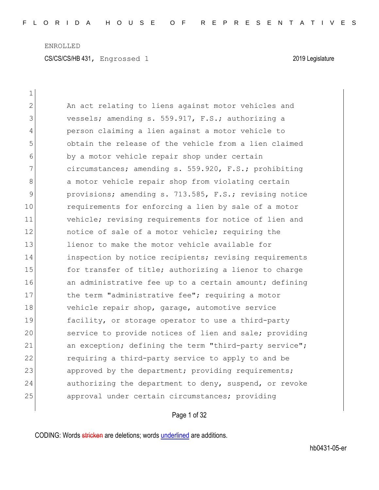$\mathbf{1}$ 

| $\mathbf{2}$ | An act relating to liens against motor vehicles and    |
|--------------|--------------------------------------------------------|
| 3            | vessels; amending s. 559.917, F.S.; authorizing a      |
| 4            | person claiming a lien against a motor vehicle to      |
| 5            | obtain the release of the vehicle from a lien claimed  |
| 6            | by a motor vehicle repair shop under certain           |
| 7            | circumstances; amending s. 559.920, F.S.; prohibiting  |
| 8            | a motor vehicle repair shop from violating certain     |
| 9            | provisions; amending s. 713.585, F.S.; revising notice |
| 10           | requirements for enforcing a lien by sale of a motor   |
| 11           | vehicle; revising requirements for notice of lien and  |
| 12           | notice of sale of a motor vehicle; requiring the       |
| 13           | lienor to make the motor vehicle available for         |
| 14           | inspection by notice recipients; revising requirements |
| 15           | for transfer of title; authorizing a lienor to charge  |
| 16           | an administrative fee up to a certain amount; defining |
| 17           | the term "administrative fee"; requiring a motor       |
| 18           | vehicle repair shop, garage, automotive service        |
| 19           | facility, or storage operator to use a third-party     |
| 20           | service to provide notices of lien and sale; providing |
| 21           | an exception; defining the term "third-party service"; |
| 22           | requiring a third-party service to apply to and be     |
| 23           | approved by the department; providing requirements;    |
| 24           | authorizing the department to deny, suspend, or revoke |
| 25           | approval under certain circumstances; providing        |

# Page 1 of 32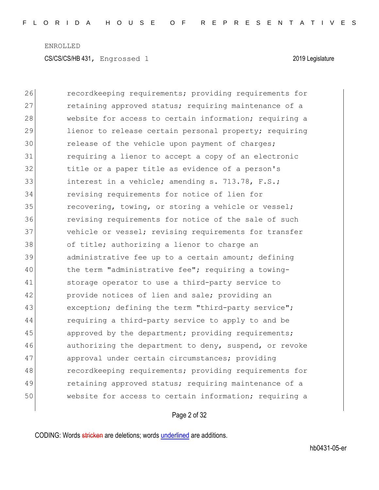26 recordkeeping requirements; providing requirements for 27 retaining approved status; requiring maintenance of a 28 website for access to certain information; requiring a 29 lienor to release certain personal property; requiring 30 release of the vehicle upon payment of charges; 31 **1** requiring a lienor to accept a copy of an electronic 32 title or a paper title as evidence of a person's 33 interest in a vehicle; amending s. 713.78, F.S.; 34 revising requirements for notice of lien for 35 **recovering, towing, or storing a vehicle or vessel;** 36 **revising requirements for notice of the sale of such** 37 vehicle or vessel; revising requirements for transfer 38 of title; authorizing a lienor to charge an 39 administrative fee up to a certain amount; defining 40 the term "administrative fee"; requiring a towing-41 storage operator to use a third-party service to 42 **provide notices of lien and sale;** providing an 43 exception; defining the term "third-party service"; 44 requiring a third-party service to apply to and be 45 approved by the department; providing requirements; 46 authorizing the department to deny, suspend, or revoke 47 approval under certain circumstances; providing 48 recordkeeping requirements; providing requirements for 49 retaining approved status; requiring maintenance of a 50 website for access to certain information; requiring a

### Page 2 of 32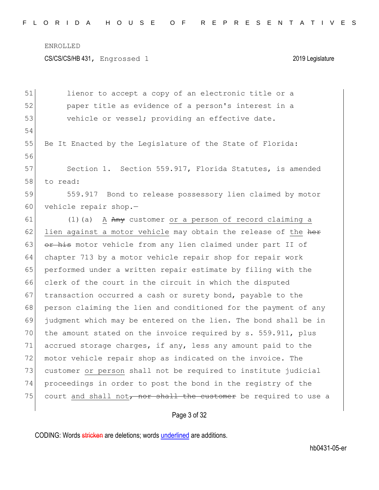CS/CS/CS/HB 431, Engrossed 1 2019 Legislature

| 51 | lienor to accept a copy of an electronic title or a              |
|----|------------------------------------------------------------------|
| 52 | paper title as evidence of a person's interest in a              |
| 53 | vehicle or vessel; providing an effective date.                  |
| 54 |                                                                  |
| 55 | Be It Enacted by the Legislature of the State of Florida:        |
| 56 |                                                                  |
| 57 | Section 1. Section 559.917, Florida Statutes, is amended         |
| 58 | to read:                                                         |
| 59 | 559.917 Bond to release possessory lien claimed by motor         |
| 60 | vehicle repair shop.-                                            |
| 61 | A Any customer or a person of record claiming a<br>$(1)$ (a)     |
| 62 | lien against a motor vehicle may obtain the release of the her   |
| 63 | or his motor vehicle from any lien claimed under part II of      |
| 64 | chapter 713 by a motor vehicle repair shop for repair work       |
| 65 | performed under a written repair estimate by filing with the     |
| 66 | clerk of the court in the circuit in which the disputed          |
| 67 | transaction occurred a cash or surety bond, payable to the       |
| 68 | person claiming the lien and conditioned for the payment of any  |
| 69 | judgment which may be entered on the lien. The bond shall be in  |
| 70 | the amount stated on the invoice required by s. 559.911, plus    |
| 71 | accrued storage charges, if any, less any amount paid to the     |
| 72 | motor vehicle repair shop as indicated on the invoice. The       |
| 73 | customer or person shall not be required to institute judicial   |
| 74 | proceedings in order to post the bond in the registry of the     |
| 75 | court and shall not, nor shall the customer be required to use a |
|    |                                                                  |

Page 3 of 32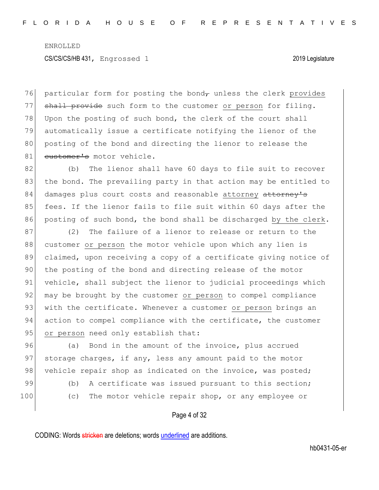$76$  particular form for posting the bond, unless the clerk provides 77 shall provide such form to the customer or person for filing. 78 Upon the posting of such bond, the clerk of the court shall 79 automatically issue a certificate notifying the lienor of the 80 posting of the bond and directing the lienor to release the 81 customer's motor vehicle.

82 (b) The lienor shall have 60 days to file suit to recover 83 the bond. The prevailing party in that action may be entitled to 84 damages plus court costs and reasonable attorney attorney's 85 fees. If the lienor fails to file suit within 60 days after the 86 posting of such bond, the bond shall be discharged by the clerk.

87 (2) The failure of a lienor to release or return to the 88 customer or person the motor vehicle upon which any lien is 89 claimed, upon receiving a copy of a certificate giving notice of 90 the posting of the bond and directing release of the motor 91 vehicle, shall subject the lienor to judicial proceedings which 92 may be brought by the customer or person to compel compliance 93 with the certificate. Whenever a customer or person brings an 94 action to compel compliance with the certificate, the customer 95 or person need only establish that:

96 (a) Bond in the amount of the invoice, plus accrued 97 storage charges, if any, less any amount paid to the motor 98 vehicle repair shop as indicated on the invoice, was posted; 99 (b) A certificate was issued pursuant to this section; 100 (c) The motor vehicle repair shop, or any employee or

Page 4 of 32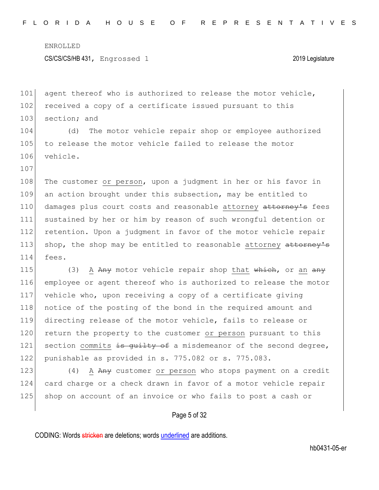107

101 agent thereof who is authorized to release the motor vehicle, 102 received a copy of a certificate issued pursuant to this 103 section; and

104 (d) The motor vehicle repair shop or employee authorized 105 to release the motor vehicle failed to release the motor 106 vehicle.

108 The customer or person, upon a judgment in her or his favor in 109 an action brought under this subsection, may be entitled to 110 damages plus court costs and reasonable attorney attorney's fees 111 sustained by her or him by reason of such wrongful detention or 112 retention. Upon a judgment in favor of the motor vehicle repair 113 shop, the shop may be entitled to reasonable attorney attorney's 114 fees.

115 (3) A  $A_{\text{H}}$  motor vehicle repair shop that which, or an  $A_{\text{H}}$  employee or agent thereof who is authorized to release the motor vehicle who, upon receiving a copy of a certificate giving notice of the posting of the bond in the required amount and directing release of the motor vehicle, fails to release or 120 return the property to the customer or person pursuant to this 121 section commits  $\frac{1}{18}$  section commits  $\frac{1}{18}$  second degree, punishable as provided in s. 775.082 or s. 775.083.

123 (4) A Any customer or person who stops payment on a credit 124 card charge or a check drawn in favor of a motor vehicle repair 125 shop on account of an invoice or who fails to post a cash or

### Page 5 of 32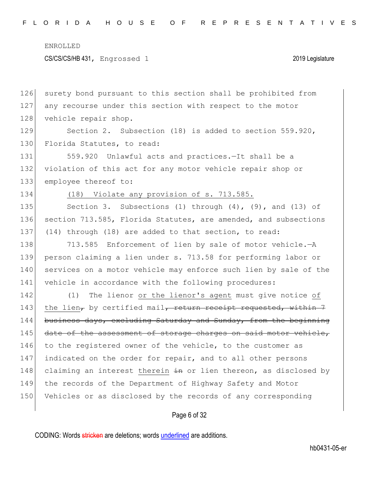CS/CS/CS/HB 431, Engrossed 1 2019 Legislature

126 surety bond pursuant to this section shall be prohibited from 127 any recourse under this section with respect to the motor 128 vehicle repair shop. 129 Section 2. Subsection (18) is added to section 559.920, 130 Florida Statutes, to read:

131 559.920 Unlawful acts and practices.-It shall be a 132 violation of this act for any motor vehicle repair shop or 133 employee thereof to:

134 (18) Violate any provision of s. 713.585.

135 Section 3. Subsections (1) through (4), (9), and (13) of 136 section 713.585, Florida Statutes, are amended, and subsections 137 (14) through (18) are added to that section, to read:

138 713.585 Enforcement of lien by sale of motor vehicle.-A 139 person claiming a lien under s. 713.58 for performing labor or 140 services on a motor vehicle may enforce such lien by sale of the 141 vehicle in accordance with the following procedures:

142 (1) The lienor or the lienor's agent must give notice of 143 the lien, by certified mail, return receipt requested, within  $7$ 144 business days, excluding Saturday and Sunday, from the beginning 145 date of the assessment of storage charges on said motor vehicle, 146 to the registered owner of the vehicle, to the customer as 147 indicated on the order for repair, and to all other persons 148 claiming an interest therein  $\frac{1}{2}$  or lien thereon, as disclosed by 149 the records of the Department of Highway Safety and Motor 150 Vehicles or as disclosed by the records of any corresponding

Page 6 of 32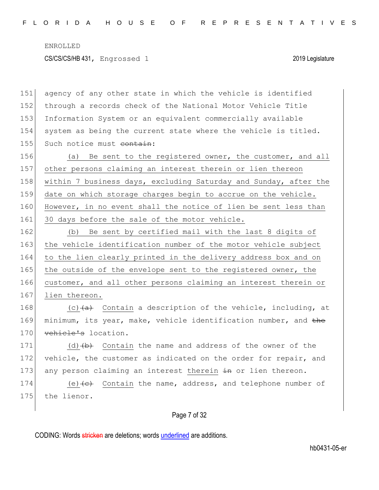151 agency of any other state in which the vehicle is identified 152 through a records check of the National Motor Vehicle Title 153 Information System or an equivalent commercially available 154 system as being the current state where the vehicle is titled. 155 Such notice must contain:

156 (a) Be sent to the registered owner, the customer, and all 157 other persons claiming an interest therein or lien thereon 158 within 7 business days, excluding Saturday and Sunday, after the 159 date on which storage charges begin to accrue on the vehicle. 160 However, in no event shall the notice of lien be sent less than 161 30 days before the sale of the motor vehicle.

162 (b) Be sent by certified mail with the last 8 digits of 163 the vehicle identification number of the motor vehicle subject 164 to the lien clearly printed in the delivery address box and on 165 the outside of the envelope sent to the registered owner, the 166 customer, and all other persons claiming an interest therein or 167 lien thereon.

168  $(c)$   $(a)$  Contain a description of the vehicle, including, at 169 minimum, its year, make, vehicle identification number, and the 170 vehicle's location.

171 (d) $(b)$  Contain the name and address of the owner of the 172 vehicle, the customer as indicated on the order for repair, and 173 any person claiming an interest therein in or lien thereon.

174 (e) $\left\langle e\right\rangle$  Contain the name, address, and telephone number of 175 the lienor.

## Page 7 of 32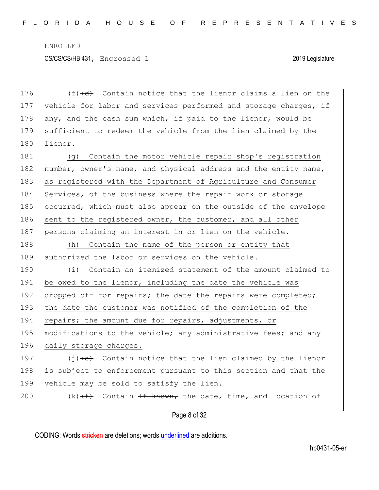176  $(f)$   $(d)$  Contain notice that the lienor claims a lien on the 177 vehicle for labor and services performed and storage charges, if 178 any, and the cash sum which, if paid to the lienor, would be 179 sufficient to redeem the vehicle from the lien claimed by the 180 lienor.

181 (g) Contain the motor vehicle repair shop's registration 182 number, owner's name, and physical address and the entity name, 183 as registered with the Department of Agriculture and Consumer 184 Services, of the business where the repair work or storage 185 occurred, which must also appear on the outside of the envelope 186 sent to the registered owner, the customer, and all other 187 persons claiming an interest in or lien on the vehicle. 188 (h) Contain the name of the person or entity that 189 authorized the labor or services on the vehicle.

190 (i) Contain an itemized statement of the amount claimed to 191 be owed to the lienor, including the date the vehicle was 192 dropped off for repairs; the date the repairs were completed; 193 the date the customer was notified of the completion of the 194 repairs; the amount due for repairs, adjustments, or 195 modifications to the vehicle; any administrative fees; and any 196 daily storage charges.

197  $(j)$  (j)  $\leftrightarrow$  Contain notice that the lien claimed by the lienor 198 is subject to enforcement pursuant to this section and that the 199 vehicle may be sold to satisfy the lien.

200 (k)  $(f)$  Contain If known, the date, time, and location of

### Page 8 of 32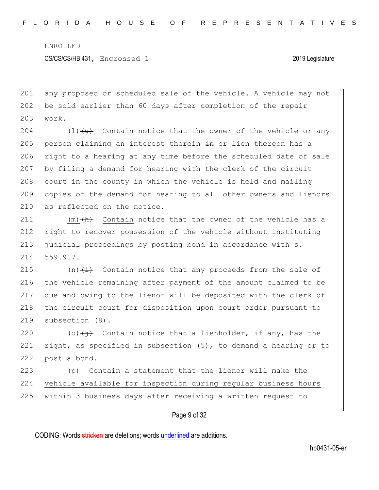CS/CS/CS/HB 431, Engrossed 1 2019 Legislature

201 any proposed or scheduled sale of the vehicle. A vehicle may not 202 be sold earlier than 60 days after completion of the repair 203 work.

204 (1) $\left(4\right)$  Contain notice that the owner of the vehicle or any 205 person claiming an interest therein  $\frac{1}{2}$  or lien thereon has a 206 right to a hearing at any time before the scheduled date of sale 207 by filing a demand for hearing with the clerk of the circuit 208 court in the county in which the vehicle is held and mailing 209 copies of the demand for hearing to all other owners and lienors 210 as reflected on the notice.

 $(m)$   $(h)$  Contain notice that the owner of the vehicle has a right to recover possession of the vehicle without instituting judicial proceedings by posting bond in accordance with s. 214 559.917.

215  $(n)$   $(i)$  Contain notice that any proceeds from the sale of 216 the vehicle remaining after payment of the amount claimed to be 217 due and owing to the lienor will be deposited with the clerk of 218 the circuit court for disposition upon court order pursuant to 219 subsection (8).

220 (o) $\left(\frac{1}{1}\right)$  Contain notice that a lienholder, if any, has the 221 right, as specified in subsection  $(5)$ , to demand a hearing or to 222 post a bond.

223 (p) Contain a statement that the lienor will make the 224 vehicle available for inspection during regular business hours 225 within 3 business days after receiving a written request to

## Page 9 of 32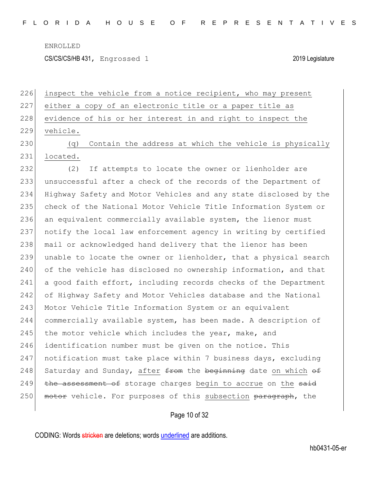CS/CS/CS/HB 431, Engrossed 1 2019 Legislature

|                      | 226 inspect the vehicle from a notice recipient, who may present |
|----------------------|------------------------------------------------------------------|
|                      | 227 either a copy of an electronic title or a paper title as     |
|                      | 228 evidence of his or her interest in and right to inspect the  |
|                      | 229 vehicle.                                                     |
| $\cap$ $\cap$ $\cap$ | $(\alpha)$ Contain the address at thigh the ushigle is phusical  |

230 (q) Contain the address at which the vehicle is physically 231 located.

232 (2) If attempts to locate the owner or lienholder are 233 unsuccessful after a check of the records of the Department of 234 Highway Safety and Motor Vehicles and any state disclosed by the 235 check of the National Motor Vehicle Title Information System or 236 an equivalent commercially available system, the lienor must 237 notify the local law enforcement agency in writing by certified 238 | mail or acknowledged hand delivery that the lienor has been 239 unable to locate the owner or lienholder, that a physical search 240 of the vehicle has disclosed no ownership information, and that 241 a good faith effort, including records checks of the Department 242 of Highway Safety and Motor Vehicles database and the National 243 Motor Vehicle Title Information System or an equivalent 244 commercially available system, has been made. A description of 245 the motor vehicle which includes the year, make, and 246 identification number must be given on the notice. This 247 notification must take place within 7 business days, excluding 248 Saturday and Sunday, after  $f$  from the beginning date on which of 249 the assessment of storage charges begin to accrue on the said 250 motor vehicle. For purposes of this subsection paragraph, the

Page 10 of 32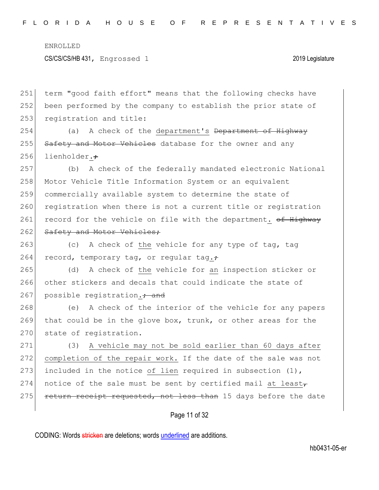CS/CS/CS/HB 431, Engrossed 1 2019 Legislature

251 term "good faith effort" means that the following checks have 252 been performed by the company to establish the prior state of 253 registration and title:

254 (a) A check of the department's <del>Department of Highway</del> 255 Safety and Motor Vehicles database for the owner and any 256 lienholder. $\div$ 

257 (b) A check of the federally mandated electronic National 258 Motor Vehicle Title Information System or an equivalent 259 commercially available system to determine the state of 260 registration when there is not a current title or registration 261 record for the vehicle on file with the department. of Highway 262 Safety and Motor Vehicles;

263 (c) A check of the vehicle for any type of tag, tag 264 record, temporary tag, or regular tag. $\div$ 

265 (d) A check of the vehicle for an inspection sticker or 266 other stickers and decals that could indicate the state of 267 possible registration.<del>; and</del>

268 (e) A check of the interior of the vehicle for any papers 269 that could be in the glove box, trunk, or other areas for the 270 state of registration.

271 (3) A vehicle may not be sold earlier than 60 days after 272 completion of the repair work. If the date of the sale was not 273 included in the notice of lien required in subsection  $(1)$ , 274 notice of the sale must be sent by certified mail at least 275 return receipt requested, not less than 15 days before the date

## Page 11 of 32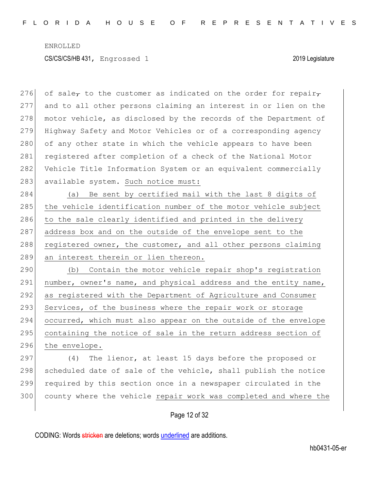276 of sale<sub>r</sub> to the customer as indicated on the order for repair<sub>r</sub> 277 and to all other persons claiming an interest in or lien on the 278 motor vehicle, as disclosed by the records of the Department of 279 Highway Safety and Motor Vehicles or of a corresponding agency 280 of any other state in which the vehicle appears to have been 281 registered after completion of a check of the National Motor 282 Vehicle Title Information System or an equivalent commercially 283 available system. Such notice must:

284 (a) Be sent by certified mail with the last 8 digits of 285 the vehicle identification number of the motor vehicle subject 286 to the sale clearly identified and printed in the delivery 287 address box and on the outside of the envelope sent to the 288 registered owner, the customer, and all other persons claiming 289 an interest therein or lien thereon.

290 (b) Contain the motor vehicle repair shop's registration 291 number, owner's name, and physical address and the entity name, 292 as registered with the Department of Agriculture and Consumer 293 Services, of the business where the repair work or storage 294 occurred, which must also appear on the outside of the envelope 295 containing the notice of sale in the return address section of 296 the envelope.

297 (4) The lienor, at least 15 days before the proposed or 298 scheduled date of sale of the vehicle, shall publish the notice 299 required by this section once in a newspaper circulated in the 300 county where the vehicle repair work was completed and where the

## Page 12 of 32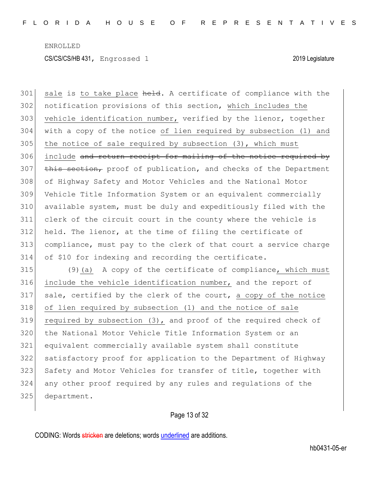301 sale is to take place held. A certificate of compliance with the 302 notification provisions of this section, which includes the 303 vehicle identification number, verified by the lienor, together with a copy of the notice of lien required by subsection (1) and the notice of sale required by subsection  $(3)$ , which must 306 include and return receipt for mailing of the notice required by this section, proof of publication, and checks of the Department of Highway Safety and Motor Vehicles and the National Motor Vehicle Title Information System or an equivalent commercially available system, must be duly and expeditiously filed with the clerk of the circuit court in the county where the vehicle is held. The lienor, at the time of filing the certificate of compliance, must pay to the clerk of that court a service charge of \$10 for indexing and recording the certificate. (9)(a) A copy of the certificate of compliance, which must include the vehicle identification number, and the report of 317 sale, certified by the clerk of the court, a copy of the notice

 of lien required by subsection (1) and the notice of sale required by subsection (3), and proof of the required check of the National Motor Vehicle Title Information System or an equivalent commercially available system shall constitute satisfactory proof for application to the Department of Highway 323 Safety and Motor Vehicles for transfer of title, together with any other proof required by any rules and regulations of the 325 department.

Page 13 of 32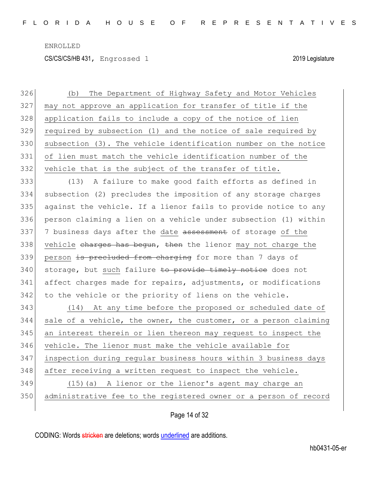CS/CS/CS/HB 431, Engrossed 1 2019 Legislature

| 326 | The Department of Highway Safety and Motor Vehicles<br>(b)       |
|-----|------------------------------------------------------------------|
| 327 | may not approve an application for transfer of title if the      |
| 328 | application fails to include a copy of the notice of lien        |
| 329 | required by subsection (1) and the notice of sale required by    |
| 330 | subsection (3). The vehicle identification number on the notice  |
| 331 | of lien must match the vehicle identification number of the      |
| 332 | vehicle that is the subject of the transfer of title.            |
| 333 | A failure to make good faith efforts as defined in<br>(13)       |
| 334 | subsection (2) precludes the imposition of any storage charges   |
| 335 | against the vehicle. If a lienor fails to provide notice to any  |
| 336 | person claiming a lien on a vehicle under subsection (1) within  |
| 337 | 7 business days after the date assessment of storage of the      |
| 338 | vehicle charges has begun, then the lienor may not charge the    |
| 339 | person is precluded from charging for more than 7 days of        |
| 340 | storage, but such failure to provide timely notice does not      |
| 341 | affect charges made for repairs, adjustments, or modifications   |
| 342 | to the vehicle or the priority of liens on the vehicle.          |
| 343 | (14) At any time before the proposed or scheduled date of        |
| 344 | sale of a vehicle, the owner, the customer, or a person claiming |
| 345 | an interest therein or lien thereon may request to inspect the   |
| 346 | vehicle. The lienor must make the vehicle available for          |
| 347 | inspection during regular business hours within 3 business days  |
| 348 | after receiving a written request to inspect the vehicle.        |
| 349 | (15) (a) A lienor or the lienor's agent may charge an            |
| 350 | administrative fee to the registered owner or a person of record |
|     |                                                                  |

Page 14 of 32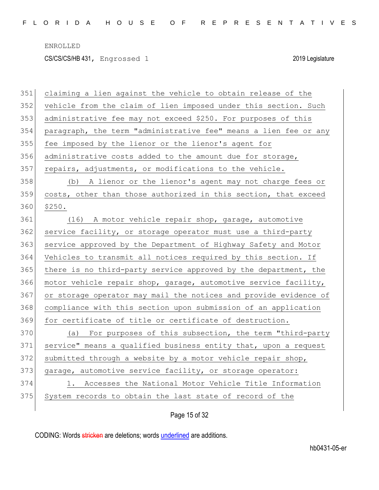| 351 | claiming a lien against the vehicle to obtain release of the     |
|-----|------------------------------------------------------------------|
| 352 | vehicle from the claim of lien imposed under this section. Such  |
| 353 | administrative fee may not exceed \$250. For purposes of this    |
| 354 | paragraph, the term "administrative fee" means a lien fee or any |
| 355 | fee imposed by the lienor or the lienor's agent for              |
| 356 | administrative costs added to the amount due for storage,        |
| 357 | repairs, adjustments, or modifications to the vehicle.           |
| 358 | (b) A lienor or the lienor's agent may not charge fees or        |
| 359 | costs, other than those authorized in this section, that exceed  |
| 360 | \$250.                                                           |
| 361 | (16) A motor vehicle repair shop, garage, automotive             |
| 362 | service facility, or storage operator must use a third-party     |
| 363 | service approved by the Department of Highway Safety and Motor   |
| 364 | Vehicles to transmit all notices required by this section. If    |
| 365 | there is no third-party service approved by the department, the  |
| 366 | motor vehicle repair shop, garage, automotive service facility,  |
| 367 | or storage operator may mail the notices and provide evidence of |
| 368 | compliance with this section upon submission of an application   |
| 369 | for certificate of title or certificate of destruction.          |
| 370 | (a) For purposes of this subsection, the term "third-party       |
| 371 | service" means a qualified business entity that, upon a request  |
| 372 | submitted through a website by a motor vehicle repair shop,      |
| 373 | garage, automotive service facility, or storage operator:        |
| 374 | 1. Accesses the National Motor Vehicle Title Information         |
| 375 | System records to obtain the last state of record of the         |
|     |                                                                  |

Page 15 of 32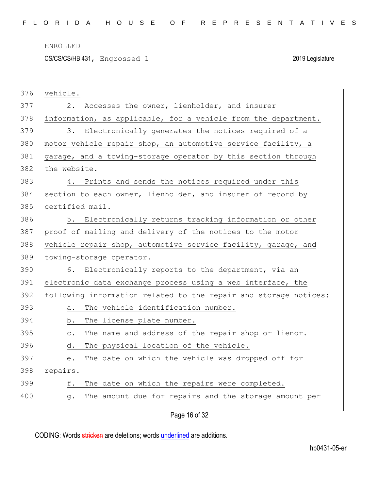CS/CS/CS/HB 431, Engrossed 1 2019 Legislature

| 376 | vehicle.                                                                                                               |
|-----|------------------------------------------------------------------------------------------------------------------------|
| 377 | Accesses the owner, lienholder, and insurer<br>2.                                                                      |
| 378 | information, as applicable, for a vehicle from the department.                                                         |
| 379 | 3.<br>Electronically generates the notices required of a                                                               |
| 380 | motor vehicle repair shop, an automotive service facility, a                                                           |
| 381 | garage, and a towing-storage operator by this section through                                                          |
| 382 | the website.                                                                                                           |
| 383 | 4. Prints and sends the notices required under this                                                                    |
| 384 | section to each owner, lienholder, and insurer of record by                                                            |
| 385 | certified mail.                                                                                                        |
| 386 | 5. Electronically returns tracking information or other                                                                |
| 387 | proof of mailing and delivery of the notices to the motor                                                              |
| 388 | vehicle repair shop, automotive service facility, garage, and                                                          |
| 389 | towing-storage operator.                                                                                               |
| 390 | 6. Electronically reports to the department, via an                                                                    |
| 391 | electronic data exchange process using a web interface, the                                                            |
| 392 | following information related to the repair and storage notices:                                                       |
| 393 | The vehicle identification number.<br>a.                                                                               |
| 394 | The license plate number.<br>b.                                                                                        |
| 395 | The name and address of the repair shop or lienor.<br>$\mathtt{C}$ .                                                   |
| 396 | The physical location of the vehicle.<br>d.                                                                            |
| 397 | The date on which the vehicle was dropped off for<br>$\mathrel{\mathop{\text{e}}\mathrel{\mathop{\text{.}}\nolimits}}$ |
| 398 | repairs.                                                                                                               |
| 399 | The date on which the repairs were completed.<br>f.                                                                    |
| 400 | The amount due for repairs and the storage amount per<br>g.                                                            |
|     |                                                                                                                        |

Page 16 of 32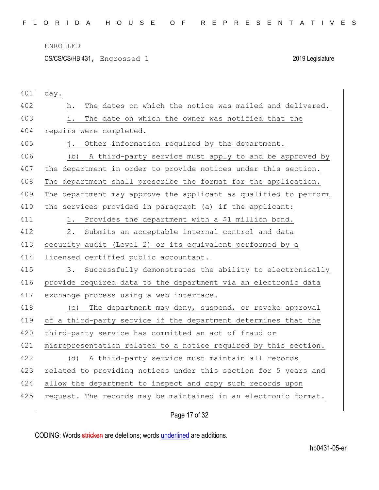CS/CS/CS/HB 431, Engrossed 1 2019 Legislature

| 401 | day.                                                             |
|-----|------------------------------------------------------------------|
| 402 | The dates on which the notice was mailed and delivered.<br>h.    |
| 403 | The date on which the owner was notified that the<br>i.          |
| 404 | repairs were completed.                                          |
| 405 | Other information required by the department.<br>$\mathbf{i}$ .  |
| 406 | A third-party service must apply to and be approved by<br>(b)    |
| 407 | the department in order to provide notices under this section.   |
| 408 | The department shall prescribe the format for the application.   |
| 409 | The department may approve the applicant as qualified to perform |
| 410 | the services provided in paragraph (a) if the applicant:         |
| 411 | Provides the department with a \$1 million bond.<br>1.           |
| 412 | $2$ .<br>Submits an acceptable internal control and data         |
| 413 | security audit (Level 2) or its equivalent performed by a        |
| 414 | licensed certified public accountant.                            |
| 415 | 3.<br>Successfully demonstrates the ability to electronically    |
| 416 | provide required data to the department via an electronic data   |
| 417 | exchange process using a web interface.                          |
| 418 | The department may deny, suspend, or revoke approval<br>(C)      |
| 419 | of a third-party service if the department determines that the   |
| 420 | third-party service has committed an act of fraud or             |
| 421 | misrepresentation related to a notice required by this section.  |
| 422 | (d) A third-party service must maintain all records              |
| 423 | related to providing notices under this section for 5 years and  |
| 424 | allow the department to inspect and copy such records upon       |
| 425 | request. The records may be maintained in an electronic format.  |
|     |                                                                  |

Page 17 of 32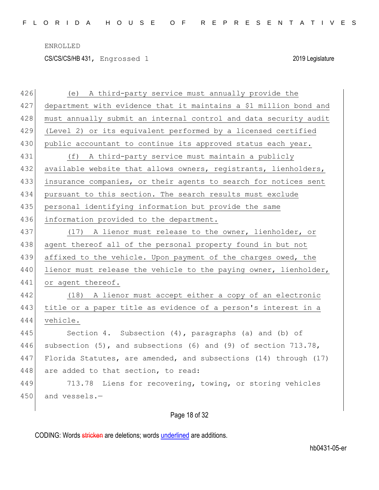CS/CS/CS/HB 431, Engrossed 1 2019 Legislature

| 426 | (e) A third-party service must annually provide the               |
|-----|-------------------------------------------------------------------|
| 427 | department with evidence that it maintains a \$1 million bond and |
| 428 | must annually submit an internal control and data security audit  |
| 429 | (Level 2) or its equivalent performed by a licensed certified     |
| 430 | public accountant to continue its approved status each year.      |
| 431 | (f) A third-party service must maintain a publicly                |
| 432 | available website that allows owners, registrants, lienholders,   |
| 433 | insurance companies, or their agents to search for notices sent   |
| 434 | pursuant to this section. The search results must exclude         |
| 435 | personal identifying information but provide the same             |
| 436 | information provided to the department.                           |
| 437 | (17) A lienor must release to the owner, lienholder, or           |
| 438 | agent thereof all of the personal property found in but not       |
| 439 | affixed to the vehicle. Upon payment of the charges owed, the     |
| 440 | lienor must release the vehicle to the paying owner, lienholder,  |
| 441 | or agent thereof.                                                 |
| 442 | (18) A lienor must accept either a copy of an electronic          |
| 443 | title or a paper title as evidence of a person's interest in a    |
| 444 | vehicle.                                                          |
| 445 | Section 4. Subsection (4), paragraphs (a) and (b) of              |
| 446 | subsection (5), and subsections (6) and (9) of section 713.78,    |
| 447 | Florida Statutes, are amended, and subsections (14) through (17)  |
| 448 | are added to that section, to read:                               |
| 449 | 713.78 Liens for recovering, towing, or storing vehicles          |
| 450 | and vessels.-                                                     |
|     |                                                                   |

# Page 18 of 32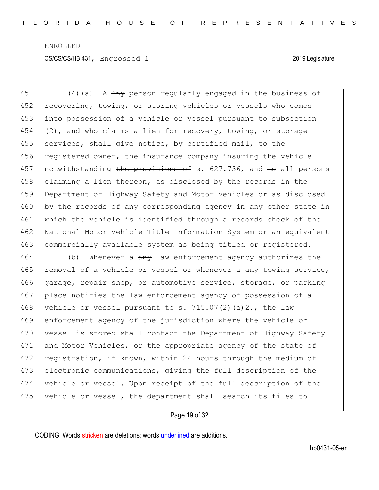451  $(4)$  (a) A Any person regularly engaged in the business of 452 recovering, towing, or storing vehicles or vessels who comes 453 into possession of a vehicle or vessel pursuant to subsection 454 (2), and who claims a lien for recovery, towing, or storage 455 services, shall give notice, by certified mail, to the 456 registered owner, the insurance company insuring the vehicle 457 notwithstanding the provisions of s. 627.736, and to all persons 458 claiming a lien thereon, as disclosed by the records in the 459 Department of Highway Safety and Motor Vehicles or as disclosed 460 by the records of any corresponding agency in any other state in 461 which the vehicle is identified through a records check of the 462 National Motor Vehicle Title Information System or an equivalent 463 commercially available system as being titled or registered.

464 (b) Whenever a any law enforcement agency authorizes the 465 removal of a vehicle or vessel or whenever a  $\frac{any}{any}$  towing service, 466 garage, repair shop, or automotive service, storage, or parking 467 place notifies the law enforcement agency of possession of a 468 vehicle or vessel pursuant to s.  $715.07(2)(a)2.$ , the law 469 enforcement agency of the jurisdiction where the vehicle or 470 vessel is stored shall contact the Department of Highway Safety 471 and Motor Vehicles, or the appropriate agency of the state of 472 registration, if known, within 24 hours through the medium of 473 electronic communications, giving the full description of the 474 vehicle or vessel. Upon receipt of the full description of the 475 vehicle or vessel, the department shall search its files to

### Page 19 of 32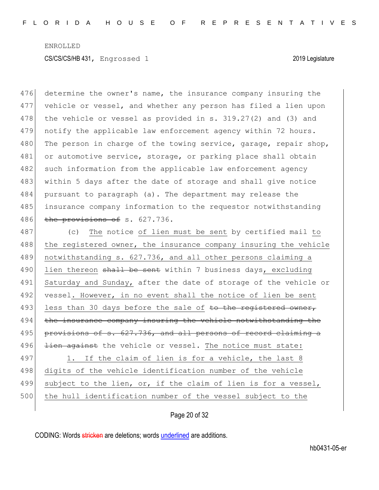476 determine the owner's name, the insurance company insuring the 477 vehicle or vessel, and whether any person has filed a lien upon 478 the vehicle or vessel as provided in s.  $319.27(2)$  and  $(3)$  and 479 notify the applicable law enforcement agency within 72 hours. 480 The person in charge of the towing service, garage, repair shop, 481 or automotive service, storage, or parking place shall obtain 482 such information from the applicable law enforcement agency 483 within 5 days after the date of storage and shall give notice 484 pursuant to paragraph (a). The department may release the 485 insurance company information to the requestor notwithstanding 486 the provisions of s. 627.736.

487 (c) The notice of lien must be sent by certified mail to 488 the registered owner, the insurance company insuring the vehicle 489 notwithstanding s. 627.736, and all other persons claiming a 490 lien thereon shall be sent within 7 business days, excluding 491 Saturday and Sunday, after the date of storage of the vehicle or 492 vessel. However, in no event shall the notice of lien be sent 493 less than 30 days before the sale of to the registered owner, 494 the insurance company insuring the vehicle notwithstanding the 495 provisions of s. 627.736, and all persons of record claiming a 496 <del>lien against</del> the vehicle or vessel. The notice must state: 497 1. If the claim of lien is for a vehicle, the last 8 498 digits of the vehicle identification number of the vehicle 499 subject to the lien, or, if the claim of lien is for a vessel, 500 the hull identification number of the vessel subject to the

# Page 20 of 32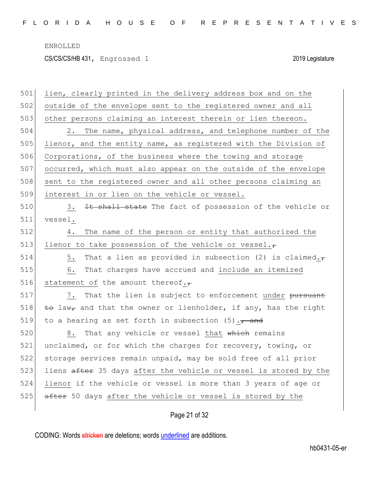CS/CS/CS/HB 431, Engrossed 1 2019 Legislature

| 501 | lien, clearly printed in the delivery address box and on the       |
|-----|--------------------------------------------------------------------|
| 502 | outside of the envelope sent to the registered owner and all       |
| 503 | other persons claiming an interest therein or lien thereon.        |
| 504 | The name, physical address, and telephone number of the<br>2.      |
| 505 | lienor, and the entity name, as registered with the Division of    |
| 506 | Corporations, of the business where the towing and storage         |
| 507 | occurred, which must also appear on the outside of the envelope    |
| 508 | sent to the registered owner and all other persons claiming an     |
| 509 | interest in or lien on the vehicle or vessel.                      |
| 510 | It shall state The fact of possession of the vehicle or<br>3.      |
| 511 | vessel.                                                            |
| 512 | The name of the person or entity that authorized the<br>4.         |
| 513 | lienor to take possession of the vehicle or vessel. $\tau$         |
| 514 | That a lien as provided in subsection (2) is claimed. $\tau$<br>5. |
| 515 | That charges have accrued and include an itemized<br>6.            |
| 516 | statement of the amount thereof. $\tau$                            |
| 517 | That the lien is subject to enforcement under pursuant<br>7.       |
| 518 | to law, and that the owner or lienholder, if any, has the right    |
| 519 | to a hearing as set forth in subsection $(5)$ ., and               |
| 520 | That any vehicle or vessel that which remains<br>8.                |
| 521 | unclaimed, or for which the charges for recovery, towing, or       |
| 522 | storage services remain unpaid, may be sold free of all prior      |
| 523 | liens after 35 days after the vehicle or vessel is stored by the   |
| 524 | lienor if the vehicle or vessel is more than 3 years of age or     |
| 525 | after 50 days after the vehicle or vessel is stored by the         |
|     |                                                                    |

# Page 21 of 32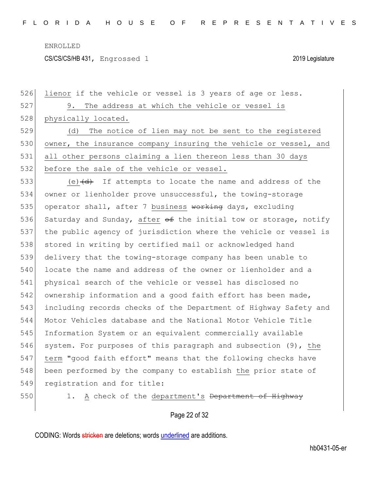CS/CS/CS/HB 431, Engrossed 1 2019 Legislature

526 lienor if the vehicle or vessel is 3 years of age or less. 527 9. The address at which the vehicle or vessel is 528 physically located. 529 (d) The notice of lien may not be sent to the registered 530 owner, the insurance company insuring the vehicle or vessel, and 531 all other persons claiming a lien thereon less than 30 days 532 before the sale of the vehicle or vessel. 533 (e) $\frac{d}{dt}$  If attempts to locate the name and address of the 534 owner or lienholder prove unsuccessful, the towing-storage 535 operator shall, after 7 business working days, excluding 536 Saturday and Sunday, after of the initial tow or storage, notify 537 the public agency of jurisdiction where the vehicle or vessel is 538 stored in writing by certified mail or acknowledged hand 539 delivery that the towing-storage company has been unable to 540 locate the name and address of the owner or lienholder and a 541 physical search of the vehicle or vessel has disclosed no 542 ownership information and a good faith effort has been made, 543 including records checks of the Department of Highway Safety and 544 Motor Vehicles database and the National Motor Vehicle Title 545 Information System or an equivalent commercially available 546 system. For purposes of this paragraph and subsection (9), the 547 term "good faith effort" means that the following checks have 548 been performed by the company to establish the prior state of 549 registration and for title: 550 1. A check of the department's Department of Highway

# Page 22 of 32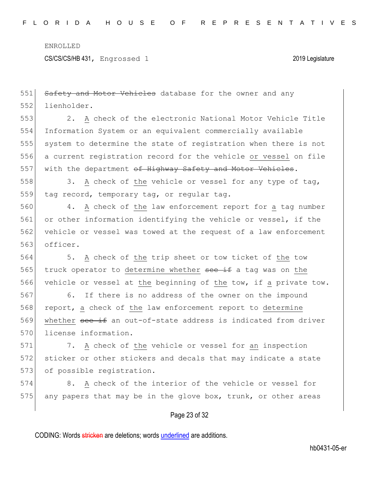CS/CS/CS/HB 431, Engrossed 1 2019 Legislature

Page 23 of 32 551 Safety and Motor Vehicles database for the owner and any 552 lienholder. 553 2. A check of the electronic National Motor Vehicle Title 554 Information System or an equivalent commercially available 555 system to determine the state of registration when there is not 556 a current registration record for the vehicle or vessel on file 557 with the department of Highway Safety and Motor Vehicles. 558 3. A check of the vehicle or vessel for any type of tag, 559 tag record, temporary tag, or regular tag. 560 4. A check of the law enforcement report for a tag number 561 or other information identifying the vehicle or vessel, if the 562 vehicle or vessel was towed at the request of a law enforcement 563 officer. 564 5. A check of the trip sheet or tow ticket of the tow 565 truck operator to determine whether see if a tag was on the 566 vehicle or vessel at the beginning of the tow, if a private tow. 567 6. If there is no address of the owner on the impound 568 report, a check of the law enforcement report to determine 569 whether see if an out-of-state address is indicated from driver 570 license information. 571 7. A check of the vehicle or vessel for an inspection 572 sticker or other stickers and decals that may indicate a state 573 of possible registration. 574 8. A check of the interior of the vehicle or vessel for 575 any papers that may be in the glove box, trunk, or other areas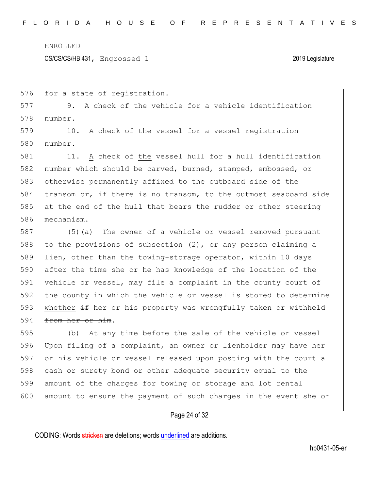CS/CS/CS/HB 431, Engrossed 1 2019 Legislature

576 for a state of registration.

577 9. A check of the vehicle for a vehicle identification 578 number.

579 10. A check of the vessel for a vessel registration 580 number.

581 11. A check of the vessel hull for a hull identification number which should be carved, burned, stamped, embossed, or otherwise permanently affixed to the outboard side of the 584 transom or, if there is no transom, to the outmost seaboard side at the end of the hull that bears the rudder or other steering mechanism.

587 (5) (a) The owner of a vehicle or vessel removed pursuant 588 to the provisions of subsection  $(2)$ , or any person claiming a 589 lien, other than the towing-storage operator, within 10 days 590 after the time she or he has knowledge of the location of the 591 vehicle or vessel, may file a complaint in the county court of 592 the county in which the vehicle or vessel is stored to determine 593 whether  $\pm$  f her or his property was wrongfully taken or withheld 594 <del>from her or him</del>.

595 (b) At any time before the sale of the vehicle or vessel 596 Upon filing of a complaint, an owner or lienholder may have her 597 or his vehicle or vessel released upon posting with the court a 598 cash or surety bond or other adequate security equal to the 599 amount of the charges for towing or storage and lot rental 600 amount to ensure the payment of such charges in the event she or

### Page 24 of 32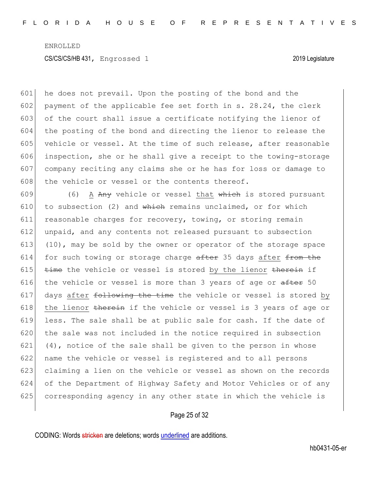601 he does not prevail. Upon the posting of the bond and the 602 payment of the applicable fee set forth in s. 28.24, the clerk of the court shall issue a certificate notifying the lienor of the posting of the bond and directing the lienor to release the 605 vehicle or vessel. At the time of such release, after reasonable inspection, she or he shall give a receipt to the towing-storage company reciting any claims she or he has for loss or damage to the vehicle or vessel or the contents thereof.

609 (6) A Any vehicle or vessel that which is stored pursuant 610 to subsection (2) and which remains unclaimed, or for which 611 reasonable charges for recovery, towing, or storing remain 612 unpaid, and any contents not released pursuant to subsection 613 (10), may be sold by the owner or operator of the storage space 614 for such towing or storage charge  $a$ fter 35 days after from the 615  $t$  time the vehicle or vessel is stored by the lienor therein if 616 the vehicle or vessel is more than 3 years of age or  $after 50$ 617 days after  $f$  to  $h$  and the time the vehicle or vessel is stored by 618 the lienor therein if the vehicle or vessel is 3 years of age or 619 less. The sale shall be at public sale for cash. If the date of 620 the sale was not included in the notice required in subsection 621 (4), notice of the sale shall be given to the person in whose 622 name the vehicle or vessel is registered and to all persons 623 claiming a lien on the vehicle or vessel as shown on the records 624 of the Department of Highway Safety and Motor Vehicles or of any 625 corresponding agency in any other state in which the vehicle is

## Page 25 of 32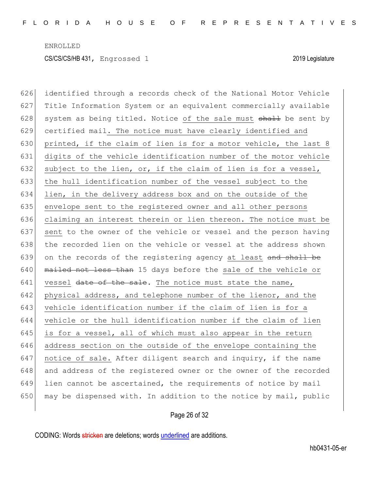626 identified through a records check of the National Motor Vehicle 627 Title Information System or an equivalent commercially available 628 system as being titled. Notice of the sale must  $shaH$  be sent by 629 certified mail. The notice must have clearly identified and 630 printed, if the claim of lien is for a motor vehicle, the last 8 631 digits of the vehicle identification number of the motor vehicle 632 subject to the lien, or, if the claim of lien is for a vessel, 633 the hull identification number of the vessel subject to the 634 lien, in the delivery address box and on the outside of the 635 envelope sent to the registered owner and all other persons 636 claiming an interest therein or lien thereon. The notice must be 637 sent to the owner of the vehicle or vessel and the person having 638 the recorded lien on the vehicle or vessel at the address shown 639 on the records of the registering agency at least and shall be  $640$  mailed not less than 15 days before the sale of the vehicle or  $641$  vessel date of the sale. The notice must state the name, 642 physical address, and telephone number of the lienor, and the 643 vehicle identification number if the claim of lien is for a 644 vehicle or the hull identification number if the claim of lien 645 is for a vessel, all of which must also appear in the return 646 address section on the outside of the envelope containing the 647 notice of sale. After diligent search and inquiry, if the name 648 and address of the registered owner or the owner of the recorded 649 lien cannot be ascertained, the requirements of notice by mail 650 may be dispensed with. In addition to the notice by mail, public

### Page 26 of 32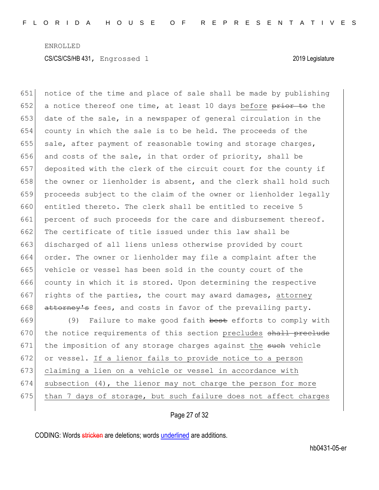651 notice of the time and place of sale shall be made by publishing 652 a notice thereof one time, at least 10 days before  $\frac{p}{p}$  to the 653 date of the sale, in a newspaper of general circulation in the 654 county in which the sale is to be held. The proceeds of the 655 sale, after payment of reasonable towing and storage charges, 656 and costs of the sale, in that order of priority, shall be 657 deposited with the clerk of the circuit court for the county if 658 the owner or lienholder is absent, and the clerk shall hold such 659 proceeds subject to the claim of the owner or lienholder legally 660 entitled thereto. The clerk shall be entitled to receive 5 661 percent of such proceeds for the care and disbursement thereof. 662 The certificate of title issued under this law shall be 663 discharged of all liens unless otherwise provided by court 664 order. The owner or lienholder may file a complaint after the 665 vehicle or vessel has been sold in the county court of the 666 county in which it is stored. Upon determining the respective 667 rights of the parties, the court may award damages, attorney 668 attorney's fees, and costs in favor of the prevailing party. 669 (9) Failure to make good faith best efforts to comply with 670 the notice requirements of this section precludes shall preclude

671 the imposition of any storage charges against the such vehicle 672 or vessel. If a lienor fails to provide notice to a person 673 claiming a lien on a vehicle or vessel in accordance with 674 subsection  $(4)$ , the lienor may not charge the person for more 675 than 7 days of storage, but such failure does not affect charges

Page 27 of 32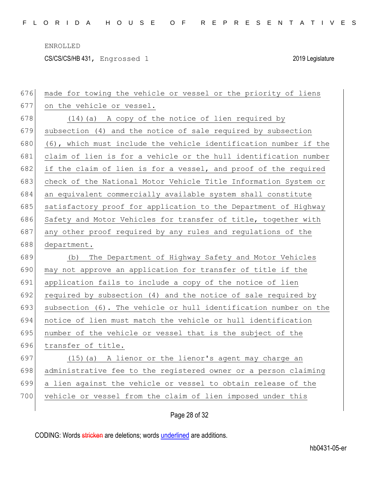CS/CS/CS/HB 431, Engrossed 1 2019 Legislature

| 676 | made for towing the vehicle or vessel or the priority of liens   |
|-----|------------------------------------------------------------------|
| 677 | on the vehicle or vessel.                                        |
| 678 | (14) (a) A copy of the notice of lien required by                |
| 679 | subsection (4) and the notice of sale required by subsection     |
| 680 | (6), which must include the vehicle identification number if the |
| 681 | claim of lien is for a vehicle or the hull identification number |
| 682 | if the claim of lien is for a vessel, and proof of the required  |
| 683 | check of the National Motor Vehicle Title Information System or  |
| 684 | an equivalent commercially available system shall constitute     |
| 685 | satisfactory proof for application to the Department of Highway  |
| 686 | Safety and Motor Vehicles for transfer of title, together with   |
| 687 | any other proof required by any rules and regulations of the     |
| 688 | department.                                                      |
|     |                                                                  |
| 689 | The Department of Highway Safety and Motor Vehicles<br>(b)       |
| 690 | may not approve an application for transfer of title if the      |
| 691 | application fails to include a copy of the notice of lien        |
| 692 | required by subsection (4) and the notice of sale required by    |
| 693 | subsection (6). The vehicle or hull identification number on the |
| 694 | notice of lien must match the vehicle or hull identification     |
| 695 | number of the vehicle or vessel that is the subject of the       |
| 696 | transfer of title.                                               |
| 697 | (15) (a) A lienor or the lienor's agent may charge an            |
| 698 | administrative fee to the registered owner or a person claiming  |
| 699 | a lien against the vehicle or vessel to obtain release of the    |
| 700 | vehicle or vessel from the claim of lien imposed under this      |

# Page 28 of 32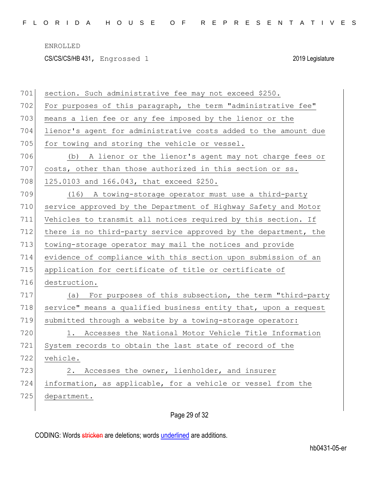CS/CS/CS/HB 431, Engrossed 1 2019 Legislature

| 701 | section. Such administrative fee may not exceed \$250.          |
|-----|-----------------------------------------------------------------|
| 702 | For purposes of this paragraph, the term "administrative fee"   |
| 703 | means a lien fee or any fee imposed by the lienor or the        |
| 704 | lienor's agent for administrative costs added to the amount due |
| 705 | for towing and storing the vehicle or vessel.                   |
| 706 | (b) A lienor or the lienor's agent may not charge fees or       |
| 707 | costs, other than those authorized in this section or ss.       |
| 708 | 125.0103 and 166.043, that exceed \$250.                        |
| 709 | (16) A towing-storage operator must use a third-party           |
| 710 | service approved by the Department of Highway Safety and Motor  |
| 711 | Vehicles to transmit all notices required by this section. If   |
| 712 | there is no third-party service approved by the department, the |
| 713 | towing-storage operator may mail the notices and provide        |
| 714 | evidence of compliance with this section upon submission of an  |
| 715 | application for certificate of title or certificate of          |
| 716 | destruction.                                                    |
| 717 | For purposes of this subsection, the term "third-party<br>(a)   |
| 718 | service" means a qualified business entity that, upon a request |
| 719 | submitted through a website by a towing-storage operator:       |
| 720 | Accesses the National Motor Vehicle Title Information<br>1.     |
| 721 | System records to obtain the last state of record of the        |
| 722 | vehicle.                                                        |
| 723 | 2. Accesses the owner, lienholder, and insurer                  |
| 724 | information, as applicable, for a vehicle or vessel from the    |
| 725 | department.                                                     |
|     |                                                                 |

# Page 29 of 32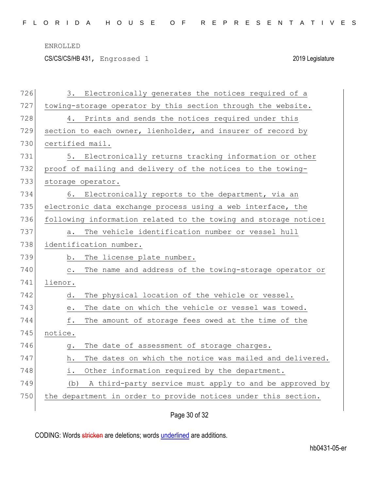CS/CS/CS/HB 431, Engrossed 1 2019 Legislature

| 726 | Electronically generates the notices required of a<br>3.                     |
|-----|------------------------------------------------------------------------------|
| 727 | towing-storage operator by this section through the website.                 |
| 728 | Prints and sends the notices required under this<br>4.                       |
| 729 | section to each owner, lienholder, and insurer of record by                  |
| 730 | certified mail.                                                              |
| 731 | Electronically returns tracking information or other<br>5.                   |
| 732 | proof of mailing and delivery of the notices to the towing-                  |
| 733 | storage operator.                                                            |
| 734 | Electronically reports to the department, via an<br>6.                       |
| 735 | electronic data exchange process using a web interface, the                  |
| 736 | following information related to the towing and storage notice:              |
| 737 | The vehicle identification number or vessel hull<br>a.                       |
| 738 | identification number.                                                       |
| 739 | The license plate number.<br>b.                                              |
| 740 | The name and address of the towing-storage operator or<br>$\mathtt{C}$ .     |
| 741 | lienor.                                                                      |
| 742 | The physical location of the vehicle or vessel.<br>d.                        |
| 743 | The date on which the vehicle or vessel was towed.<br>$\mathrel{\text{e}}$ . |
| 744 | The amount of storage fees owed at the time of the<br>f.                     |
| 745 | notice.                                                                      |
| 746 | The date of assessment of storage charges.<br>q.                             |
| 747 | The dates on which the notice was mailed and delivered.<br>h.                |
| 748 | Other information required by the department.<br>i.                          |
| 749 | A third-party service must apply to and be approved by<br>(b)                |
| 750 | the department in order to provide notices under this section.               |
|     |                                                                              |

Page 30 of 32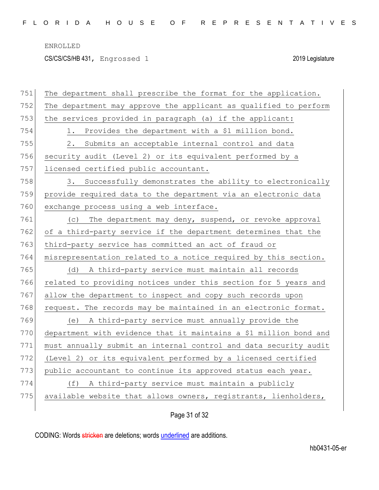CS/CS/CS/HB 431, Engrossed 1 2019 Legislature

| 751 | The department shall prescribe the format for the application.    |
|-----|-------------------------------------------------------------------|
| 752 | The department may approve the applicant as qualified to perform  |
| 753 | the services provided in paragraph (a) if the applicant:          |
| 754 | Provides the department with a \$1 million bond.<br>1.            |
| 755 | Submits an acceptable internal control and data<br>2.             |
| 756 | security audit (Level 2) or its equivalent performed by a         |
| 757 | licensed certified public accountant.                             |
| 758 | 3. Successfully demonstrates the ability to electronically        |
| 759 | provide required data to the department via an electronic data    |
| 760 | exchange process using a web interface.                           |
| 761 | The department may deny, suspend, or revoke approval<br>(C)       |
| 762 | of a third-party service if the department determines that the    |
| 763 | third-party service has committed an act of fraud or              |
| 764 | misrepresentation related to a notice required by this section.   |
| 765 | A third-party service must maintain all records<br>(d)            |
| 766 | related to providing notices under this section for 5 years and   |
| 767 | allow the department to inspect and copy such records upon        |
| 768 | request. The records may be maintained in an electronic format.   |
| 769 | A third-party service must annually provide the<br>(e)            |
| 770 | department with evidence that it maintains a \$1 million bond and |
| 771 | must annually submit an internal control and data security audit  |
| 772 | (Level 2) or its equivalent performed by a licensed certified     |
| 773 | public accountant to continue its approved status each year.      |
| 774 | A third-party service must maintain a publicly<br>(f)             |
| 775 | available website that allows owners, registrants, lienholders,   |
|     |                                                                   |

Page 31 of 32